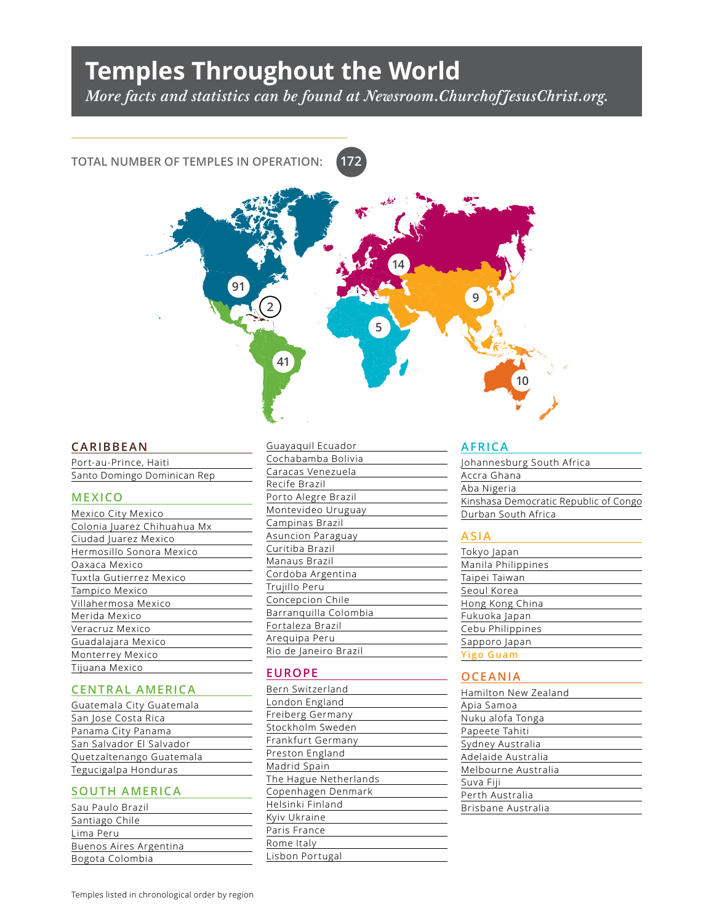# **Temples Throughout the World**

*More facts and statistics can be found at Newsroom.ChurchofJesusChrist.org.*

**172**

## **TOTAL NUMBER OF TEMPLES IN OPERATION:**



#### **CARIBBEAN**

Port-au-Prince, Haiti Santo Domingo Dominican Rep

#### **MEXICO**

| Mexico City Mexico          |
|-----------------------------|
| Colonia Juarez Chihuahua Mx |
| Ciudad Juarez Mexico        |
| Hermosillo Sonora Mexico    |
| Oaxaca Mexico               |
| Tuxtla Gutierrez Mexico     |
| Tampico Mexico              |
| Villahermosa Mexico         |
| Merida Mexico               |
| Veracruz Mexico             |
| Guadalajara Mexico          |
| Monterrey Mexico            |
| Tijuana Mexico              |

### **CENTRAL AMERICA**

| Guatemala City Guatemala |
|--------------------------|
| San Jose Costa Rica      |
| Panama City Panama       |
| San Salvador El Salvador |
| Quetzaltenango Guatemala |
| Tegucigalpa Honduras     |
|                          |

#### **SOUTH AMERICA**

| Sau Paulo Brazil       |
|------------------------|
| Santiago Chile         |
| Lima Peru              |
| Buenos Aires Argentina |
| Bogota Colombia        |

#### Guayaquil Ecuador

| Cochabamba Bolivia    |
|-----------------------|
| Caracas Venezuela     |
| Recife Brazil         |
| Porto Alegre Brazil   |
| Montevideo Uruguay    |
| Campinas Brazil       |
| Asuncion Paraguay     |
| Curitiba Brazil       |
| Manaus Brazil         |
| Cordoba Argentina     |
| Trujillo Peru         |
| Concepcion Chile      |
| Barranquilla Colombia |
| Fortaleza Brazil      |
| Areguipa Peru         |
| Rio de Janeiro Brazil |

#### **EUROPE**

#### **AFRICA**

| Johannesburg South Africa             |
|---------------------------------------|
| Accra Ghana                           |
| Aba Nigeria                           |
| Kinshasa Democratic Republic of Congo |
| Durban South Africa                   |
|                                       |

#### **ASIA**

| Tokyo Japan        |
|--------------------|
| Manila Philippines |
| Taipei Taiwan      |
| Seoul Korea        |
| Hong Kong China    |
| Fukuoka Japan      |
| Cebu Philippines   |
| Sapporo Japan      |
| <b>Yigo Guam</b>   |

#### **OCEANIA**

| Hamilton New Zealand |
|----------------------|
| Apia Samoa           |
| Nuku alofa Tonga     |
| Papeete Tahiti       |
| Sydney Australia     |
| Adelaide Australia   |
| Melbourne Australia  |
| Suva Fiji            |
| Perth Australia      |
| Brisbane Australia   |